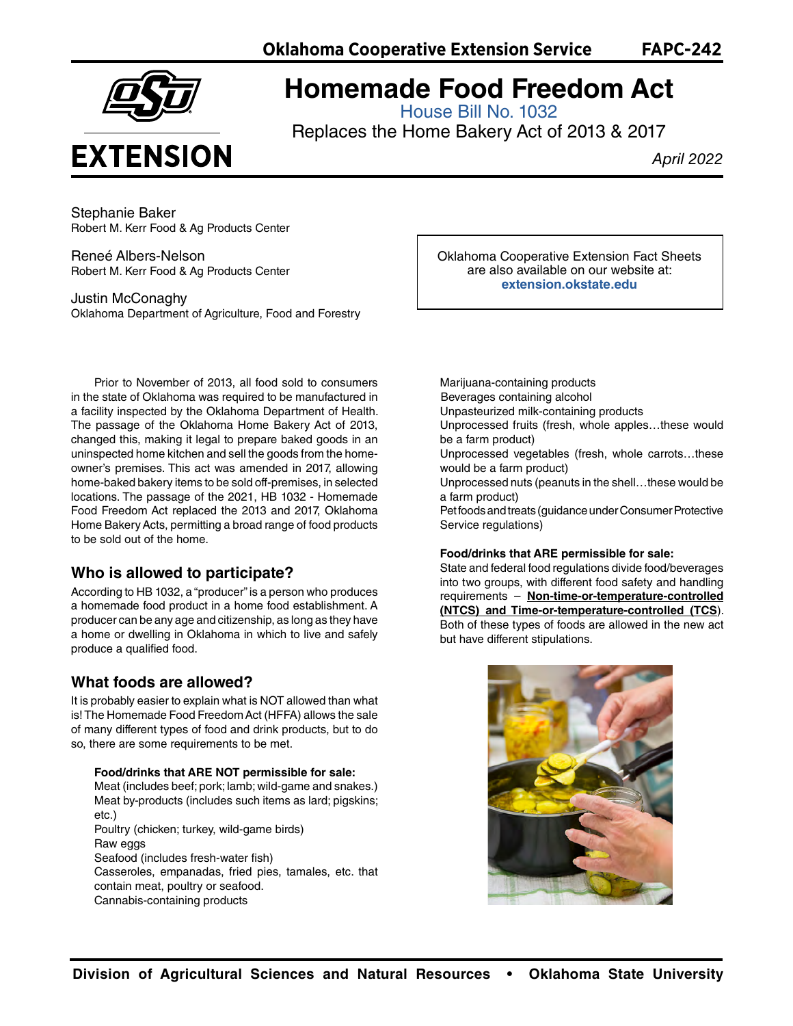

# **Homemade Food Freedom Act**

[House Bill No. 1032](https://legiscan.com/OK/text/HB1032/2021)

Replaces the Home Bakery Act of 2013 & 2017

*April 2022*

Stephanie Baker Robert M. Kerr Food & Ag Products Center

Reneé Albers-Nelson Robert M. Kerr Food & Ag Products Center

Justin McConaghy Oklahoma Department of Agriculture, Food and Forestry

Prior to November of 2013, all food sold to consumers in the state of Oklahoma was required to be manufactured in a facility inspected by the Oklahoma Department of Health. The passage of the Oklahoma Home Bakery Act of 2013, changed this, making it legal to prepare baked goods in an uninspected home kitchen and sell the goods from the homeowner's premises. This act was amended in 2017, allowing home-baked bakery items to be sold off-premises, in selected locations. The passage of the 2021, HB 1032 - Homemade Food Freedom Act replaced the 2013 and 2017, Oklahoma Home Bakery Acts, permitting a broad range of food products to be sold out of the home.

### **Who is allowed to participate?**

According to HB 1032, a "producer" is a person who produces a homemade food product in a home food establishment. A producer can be any age and citizenship, as long as they have a home or dwelling in Oklahoma in which to live and safely produce a qualified food.

## **What foods are allowed?**

It is probably easier to explain what is NOT allowed than what is! The Homemade Food Freedom Act (HFFA) allows the sale of many different types of food and drink products, but to do so, there are some requirements to be met.

**Food/drinks that ARE NOT permissible for sale:** Meat (includes beef; pork; lamb; wild-game and snakes.) Meat by-products (includes such items as lard; pigskins; etc.) Poultry (chicken; turkey, wild-game birds) Raw eggs Seafood (includes fresh-water fish) Casseroles, empanadas, fried pies, tamales, etc. that contain meat, poultry or seafood. Cannabis-containing products

Oklahoma Cooperative Extension Fact Sheets are also available on our website at: **[extension.okstate.edu](https://extension.okstate.edu)**

Marijuana-containing products Beverages containing alcohol Unpasteurized milk-containing products Unprocessed fruits (fresh, whole apples…these would be a farm product) Unprocessed vegetables (fresh, whole carrots…these

would be a farm product) Unprocessed nuts (peanuts in the shell…these would be a farm product)

Pet foods and treats (guidance under Consumer Protective Service regulations)

#### **Food/drinks that ARE permissible for sale:**

State and federal food regulations divide food/beverages into two groups, with different food safety and handling requirements – **Non-time-or-temperature-controlled (NTCS) and Time-or-temperature-controlled (TCS**). Both of these types of foods are allowed in the new act but have different stipulations.

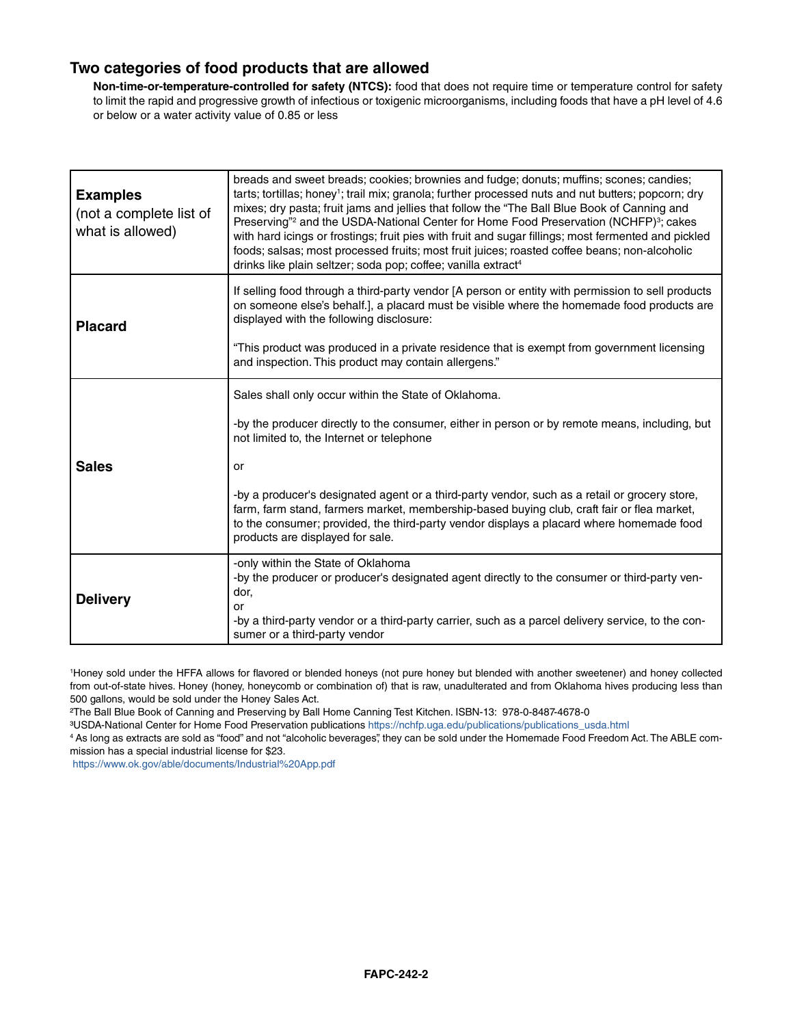### **Two categories of food products that are allowed**

**Non-time-or-temperature-controlled for safety (NTCS):** food that does not require time or temperature control for safety to limit the rapid and progressive growth of infectious or toxigenic microorganisms, including foods that have a pH level of 4.6 or below or a water activity value of 0.85 or less

| <b>Examples</b><br>(not a complete list of<br>what is allowed) | breads and sweet breads; cookies; brownies and fudge; donuts; muffins; scones; candies;<br>tarts; tortillas; honey <sup>1</sup> ; trail mix; granola; further processed nuts and nut butters; popcorn; dry<br>mixes; dry pasta; fruit jams and jellies that follow the "The Ball Blue Book of Canning and<br>Preserving" <sup>2</sup> and the USDA-National Center for Home Food Preservation (NCHFP) <sup>3</sup> ; cakes<br>with hard icings or frostings; fruit pies with fruit and sugar fillings; most fermented and pickled<br>foods; salsas; most processed fruits; most fruit juices; roasted coffee beans; non-alcoholic<br>drinks like plain seltzer; soda pop; coffee; vanilla extract <sup>4</sup> |
|----------------------------------------------------------------|----------------------------------------------------------------------------------------------------------------------------------------------------------------------------------------------------------------------------------------------------------------------------------------------------------------------------------------------------------------------------------------------------------------------------------------------------------------------------------------------------------------------------------------------------------------------------------------------------------------------------------------------------------------------------------------------------------------|
| <b>Placard</b>                                                 | If selling food through a third-party vendor [A person or entity with permission to sell products<br>on someone else's behalf.], a placard must be visible where the homemade food products are<br>displayed with the following disclosure:<br>"This product was produced in a private residence that is exempt from government licensing<br>and inspection. This product may contain allergens."                                                                                                                                                                                                                                                                                                              |
| <b>Sales</b>                                                   | Sales shall only occur within the State of Oklahoma.<br>-by the producer directly to the consumer, either in person or by remote means, including, but<br>not limited to, the Internet or telephone<br>or<br>-by a producer's designated agent or a third-party vendor, such as a retail or grocery store,<br>farm, farm stand, farmers market, membership-based buying club, craft fair or flea market,<br>to the consumer; provided, the third-party vendor displays a placard where homemade food<br>products are displayed for sale.                                                                                                                                                                       |
| <b>Delivery</b>                                                | -only within the State of Oklahoma<br>-by the producer or producer's designated agent directly to the consumer or third-party ven-<br>dor.<br>or<br>-by a third-party vendor or a third-party carrier, such as a parcel delivery service, to the con-<br>sumer or a third-party vendor                                                                                                                                                                                                                                                                                                                                                                                                                         |

1 Honey sold under the HFFA allows for flavored or blended honeys (not pure honey but blended with another sweetener) and honey collected from out-of-state hives. Honey (honey, honeycomb or combination of) that is raw, unadulterated and from Oklahoma hives producing less than 500 gallons, would be sold under the Honey Sales Act.

²The Ball Blue Book of Canning and Preserving by Ball Home Canning Test Kitchen. ISBN-13: 978-0-8487-4678-0

³USDA-National Center for Home Food Preservation publication[s https://nchfp.uga.edu/publications/publications\\_usda.html](https://nchfp.uga.edu/publications/publications_usda.html)

4 As long as extracts are sold as "food" and not "alcoholic beverages", they can be sold under the Homemade Food Freedom Act. The ABLE commission has a special industrial license for \$23.

<https://www.ok.gov/able/documents/Industrial%20App.pdf>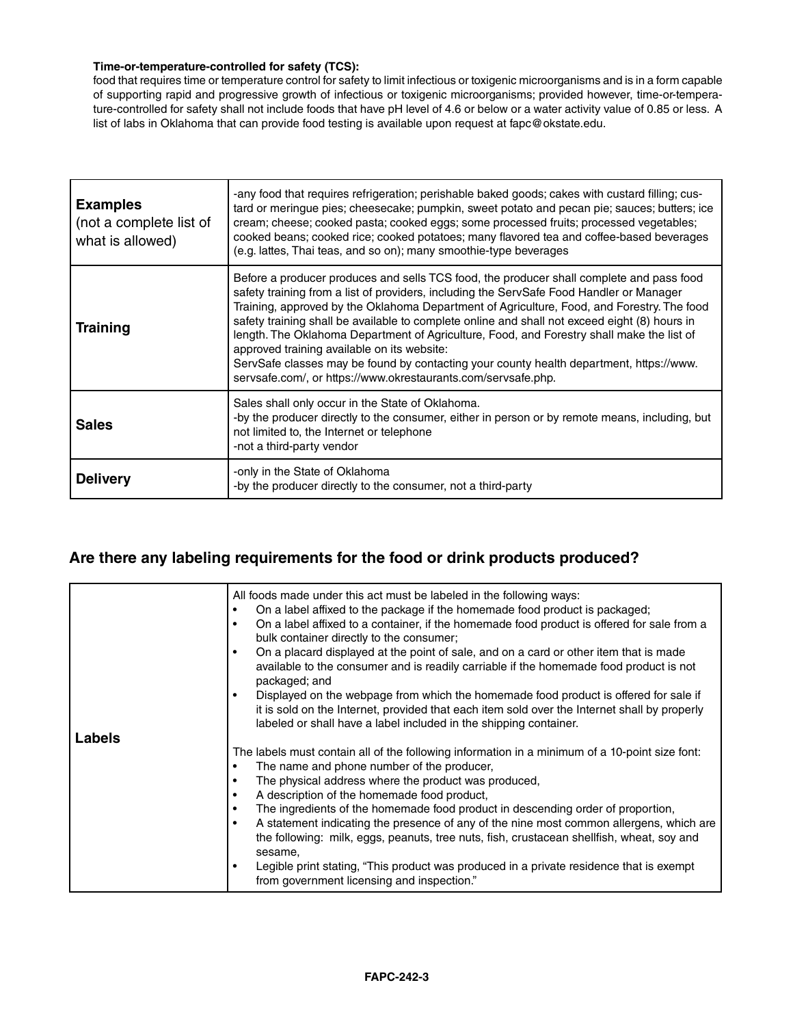#### **Time-or-temperature-controlled for safety (TCS):**

food that requires time or temperature control for safety to limit infectious or toxigenic microorganisms and is in a form capable of supporting rapid and progressive growth of infectious or toxigenic microorganisms; provided however, time-or-temperature-controlled for safety shall not include foods that have pH level of 4.6 or below or a water activity value of 0.85 or less. A list of labs in Oklahoma that can provide food testing is available upon request at fapc@okstate.edu.

| <b>Examples</b><br>(not a complete list of<br>what is allowed) | -any food that requires refrigeration; perishable baked goods; cakes with custard filling; cus-<br>tard or meringue pies; cheesecake; pumpkin, sweet potato and pecan pie; sauces; butters; ice<br>cream; cheese; cooked pasta; cooked eggs; some processed fruits; processed vegetables;<br>cooked beans; cooked rice; cooked potatoes; many flavored tea and coffee-based beverages<br>(e.g. lattes, Thai teas, and so on); many smoothie-type beverages                                                                                                                                                                                                                                  |
|----------------------------------------------------------------|---------------------------------------------------------------------------------------------------------------------------------------------------------------------------------------------------------------------------------------------------------------------------------------------------------------------------------------------------------------------------------------------------------------------------------------------------------------------------------------------------------------------------------------------------------------------------------------------------------------------------------------------------------------------------------------------|
| <b>Training</b>                                                | Before a producer produces and sells TCS food, the producer shall complete and pass food<br>safety training from a list of providers, including the ServSafe Food Handler or Manager<br>Training, approved by the Oklahoma Department of Agriculture, Food, and Forestry. The food<br>safety training shall be available to complete online and shall not exceed eight (8) hours in<br>length. The Oklahoma Department of Agriculture, Food, and Forestry shall make the list of<br>approved training available on its website:<br>ServSafe classes may be found by contacting your county health department, https://www.<br>servsafe.com/, or https://www.okrestaurants.com/servsafe.php. |
| <b>Sales</b>                                                   | Sales shall only occur in the State of Oklahoma.<br>-by the producer directly to the consumer, either in person or by remote means, including, but<br>not limited to, the Internet or telephone<br>-not a third-party vendor                                                                                                                                                                                                                                                                                                                                                                                                                                                                |
| <b>Delivery</b>                                                | -only in the State of Oklahoma<br>-by the producer directly to the consumer, not a third-party                                                                                                                                                                                                                                                                                                                                                                                                                                                                                                                                                                                              |

# **Are there any labeling requirements for the food or drink products produced?**

|        | All foods made under this act must be labeled in the following ways:<br>On a label affixed to the package if the homemade food product is packaged;<br>On a label affixed to a container, if the homemade food product is offered for sale from a<br>bulk container directly to the consumer;<br>On a placard displayed at the point of sale, and on a card or other item that is made<br>$\bullet$<br>available to the consumer and is readily carriable if the homemade food product is not<br>packaged; and |
|--------|----------------------------------------------------------------------------------------------------------------------------------------------------------------------------------------------------------------------------------------------------------------------------------------------------------------------------------------------------------------------------------------------------------------------------------------------------------------------------------------------------------------|
| Labels | Displayed on the webpage from which the homemade food product is offered for sale if<br>it is sold on the Internet, provided that each item sold over the Internet shall by properly<br>labeled or shall have a label included in the shipping container.                                                                                                                                                                                                                                                      |
|        | The labels must contain all of the following information in a minimum of a 10-point size font:<br>The name and phone number of the producer,<br>The physical address where the product was produced,<br>A description of the homemade food product,<br>The ingredients of the homemade food product in descending order of proportion,<br>$\bullet$<br>A statement indicating the presence of any of the nine most common allergens, which are                                                                 |
|        | the following: milk, eggs, peanuts, tree nuts, fish, crustacean shellfish, wheat, soy and<br>sesame,<br>Legible print stating, "This product was produced in a private residence that is exempt<br>from government licensing and inspection."                                                                                                                                                                                                                                                                  |